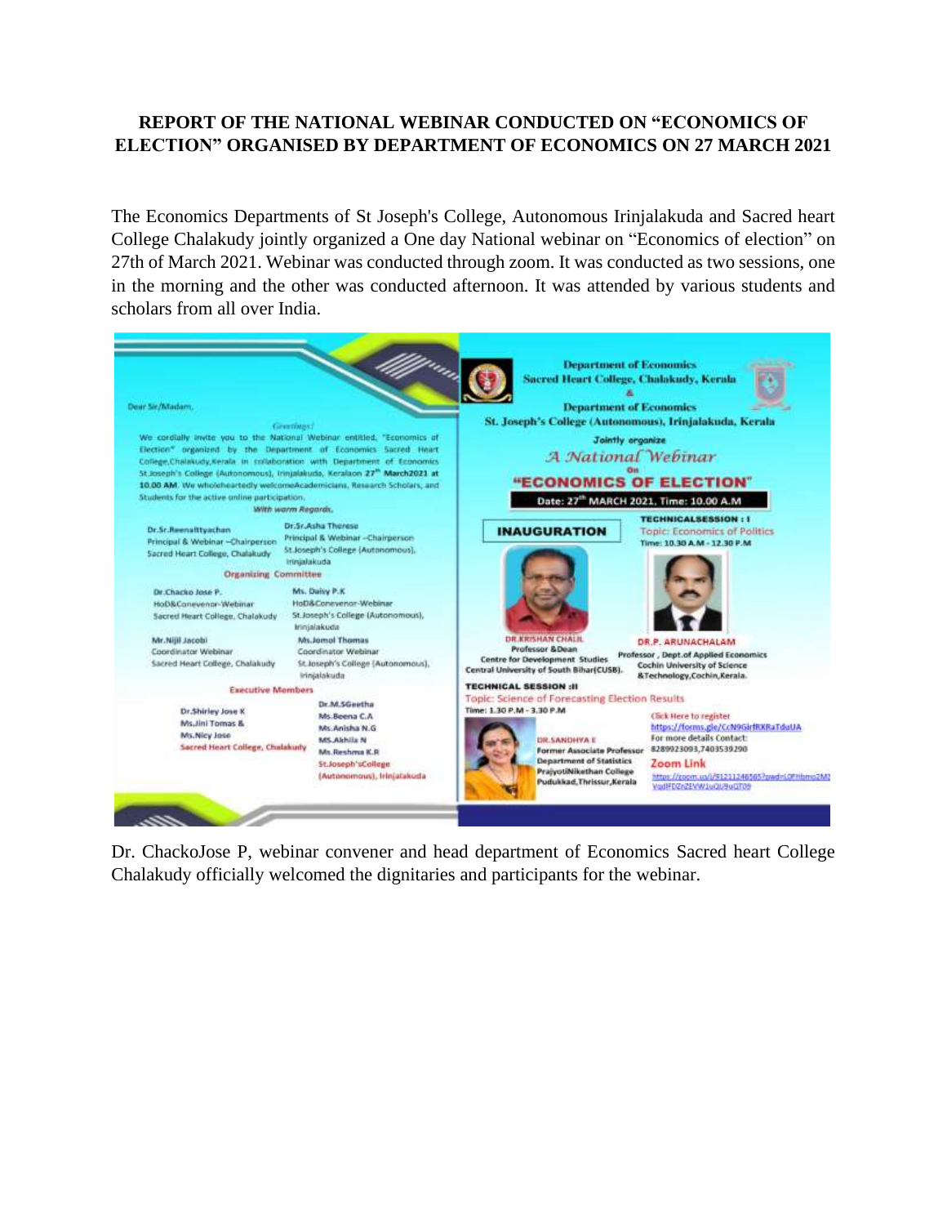## **REPORT OF THE NATIONAL WEBINAR CONDUCTED ON "ECONOMICS OF ELECTION" ORGANISED BY DEPARTMENT OF ECONOMICS ON 27 MARCH 2021**

The Economics Departments of St Joseph's College, Autonomous Irinjalakuda and Sacred heart College Chalakudy jointly organized a One day National webinar on "Economics of election" on 27th of March 2021. Webinar was conducted through zoom. It was conducted as two sessions, one in the morning and the other was conducted afternoon. It was attended by various students and scholars from all over India.



Dr. ChackoJose P, webinar convener and head department of Economics Sacred heart College Chalakudy officially welcomed the dignitaries and participants for the webinar.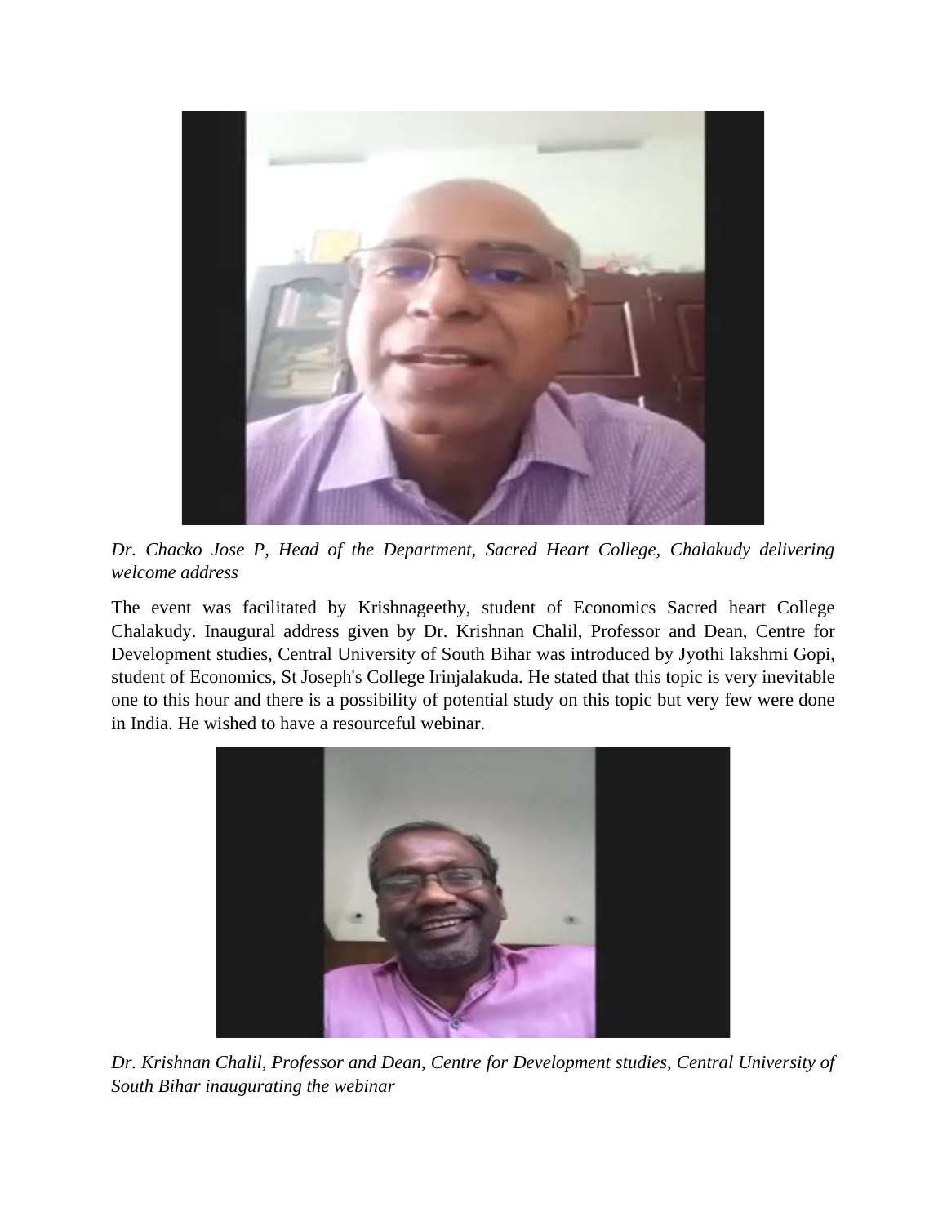

*Dr. Chacko Jose P, Head of the Department, Sacred Heart College, Chalakudy delivering welcome address*

The event was facilitated by Krishnageethy, student of Economics Sacred heart College Chalakudy. Inaugural address given by Dr. Krishnan Chalil, Professor and Dean, Centre for Development studies, Central University of South Bihar was introduced by Jyothi lakshmi Gopi, student of Economics, St Joseph's College Irinjalakuda. He stated that this topic is very inevitable one to this hour and there is a possibility of potential study on this topic but very few were done in India. He wished to have a resourceful webinar.



*Dr. Krishnan Chalil, Professor and Dean, Centre for Development studies, Central University of South Bihar inaugurating the webinar*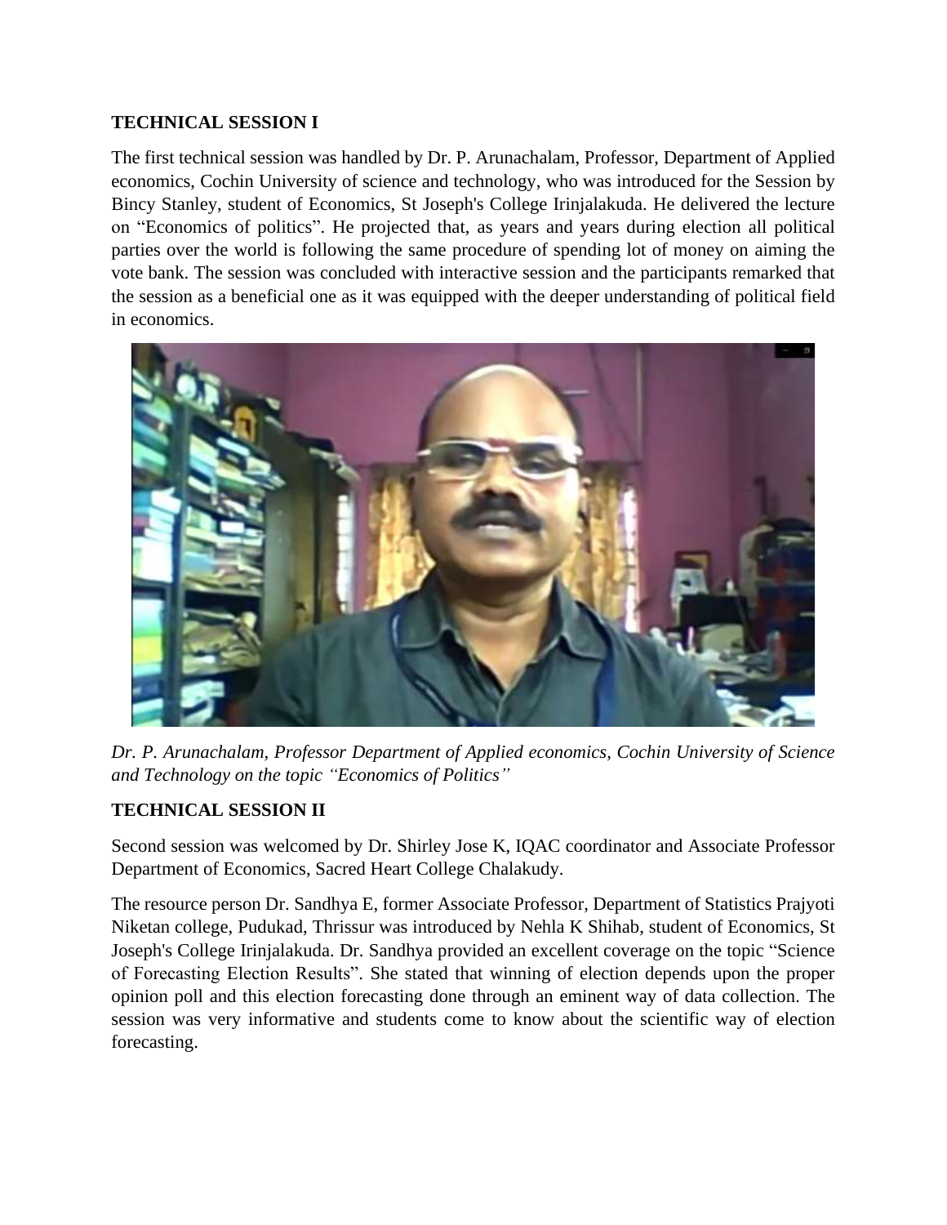## **TECHNICAL SESSION I**

The first technical session was handled by Dr. P. Arunachalam, Professor, Department of Applied economics, Cochin University of science and technology, who was introduced for the Session by Bincy Stanley, student of Economics, St Joseph's College Irinjalakuda. He delivered the lecture on "Economics of politics". He projected that, as years and years during election all political parties over the world is following the same procedure of spending lot of money on aiming the vote bank. The session was concluded with interactive session and the participants remarked that the session as a beneficial one as it was equipped with the deeper understanding of political field in economics.



*Dr. P. Arunachalam, Professor Department of Applied economics, Cochin University of Science and Technology on the topic "Economics of Politics"*

## **TECHNICAL SESSION II**

Second session was welcomed by Dr. Shirley Jose K, IQAC coordinator and Associate Professor Department of Economics, Sacred Heart College Chalakudy.

The resource person Dr. Sandhya E, former Associate Professor, Department of Statistics Prajyoti Niketan college, Pudukad, Thrissur was introduced by Nehla K Shihab, student of Economics, St Joseph's College Irinjalakuda. Dr. Sandhya provided an excellent coverage on the topic "Science of Forecasting Election Results". She stated that winning of election depends upon the proper opinion poll and this election forecasting done through an eminent way of data collection. The session was very informative and students come to know about the scientific way of election forecasting.